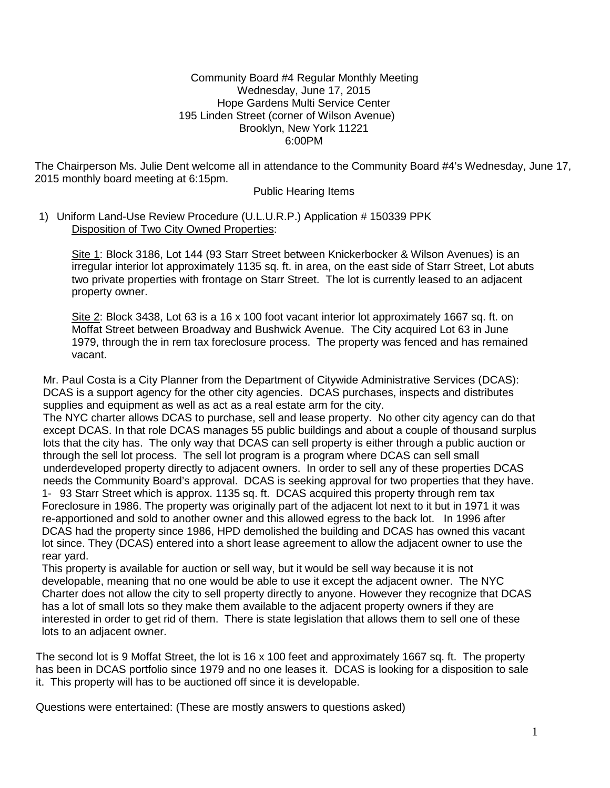#### Community Board #4 Regular Monthly Meeting Wednesday, June 17, 2015 Hope Gardens Multi Service Center 195 Linden Street (corner of Wilson Avenue) Brooklyn, New York 11221 6:00PM

The Chairperson Ms. Julie Dent welcome all in attendance to the Community Board #4's Wednesday, June 17, 2015 monthly board meeting at 6:15pm.

#### Public Hearing Items

### 1) Uniform Land-Use Review Procedure (U.L.U.R.P.) Application # 150339 PPK Disposition of Two City Owned Properties:

Site 1: Block 3186, Lot 144 (93 Starr Street between Knickerbocker & Wilson Avenues) is an irregular interior lot approximately 1135 sq. ft. in area, on the east side of Starr Street, Lot abuts two private properties with frontage on Starr Street. The lot is currently leased to an adjacent property owner.

Site 2: Block 3438, Lot 63 is a 16 x 100 foot vacant interior lot approximately 1667 sq. ft. on Moffat Street between Broadway and Bushwick Avenue. The City acquired Lot 63 in June 1979, through the in rem tax foreclosure process. The property was fenced and has remained vacant.

Mr. Paul Costa is a City Planner from the Department of Citywide Administrative Services (DCAS): DCAS is a support agency for the other city agencies. DCAS purchases, inspects and distributes supplies and equipment as well as act as a real estate arm for the city.

The NYC charter allows DCAS to purchase, sell and lease property. No other city agency can do that except DCAS. In that role DCAS manages 55 public buildings and about a couple of thousand surplus lots that the city has. The only way that DCAS can sell property is either through a public auction or through the sell lot process. The sell lot program is a program where DCAS can sell small underdeveloped property directly to adjacent owners. In order to sell any of these properties DCAS needs the Community Board's approval. DCAS is seeking approval for two properties that they have. 1- 93 Starr Street which is approx. 1135 sq. ft. DCAS acquired this property through rem tax Foreclosure in 1986. The property was originally part of the adjacent lot next to it but in 1971 it was re-apportioned and sold to another owner and this allowed egress to the back lot. In 1996 after DCAS had the property since 1986, HPD demolished the building and DCAS has owned this vacant lot since. They (DCAS) entered into a short lease agreement to allow the adjacent owner to use the rear yard.

This property is available for auction or sell way, but it would be sell way because it is not developable, meaning that no one would be able to use it except the adjacent owner. The NYC Charter does not allow the city to sell property directly to anyone. However they recognize that DCAS has a lot of small lots so they make them available to the adjacent property owners if they are interested in order to get rid of them. There is state legislation that allows them to sell one of these lots to an adjacent owner.

The second lot is 9 Moffat Street, the lot is 16 x 100 feet and approximately 1667 sq. ft. The property has been in DCAS portfolio since 1979 and no one leases it. DCAS is looking for a disposition to sale it. This property will has to be auctioned off since it is developable.

Questions were entertained: (These are mostly answers to questions asked)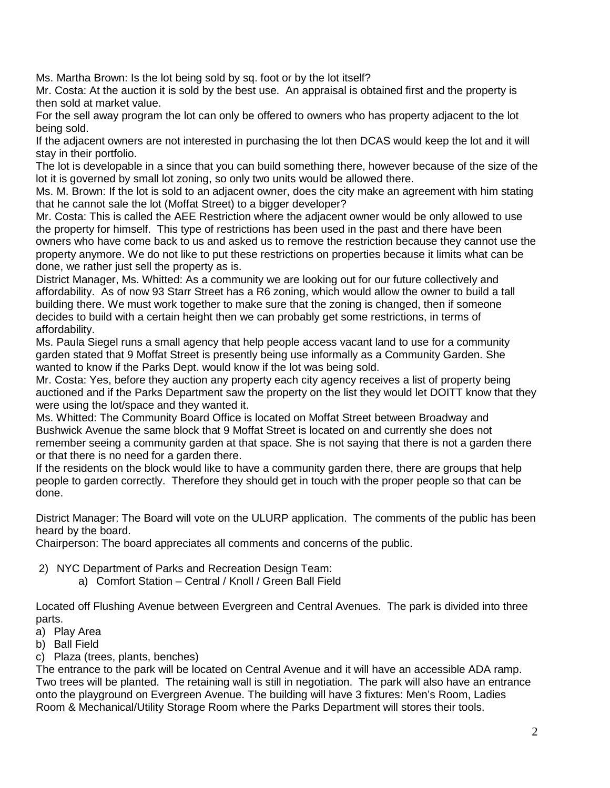Ms. Martha Brown: Is the lot being sold by sq. foot or by the lot itself?

Mr. Costa: At the auction it is sold by the best use. An appraisal is obtained first and the property is then sold at market value.

For the sell away program the lot can only be offered to owners who has property adjacent to the lot being sold.

If the adjacent owners are not interested in purchasing the lot then DCAS would keep the lot and it will stay in their portfolio.

The lot is developable in a since that you can build something there, however because of the size of the lot it is governed by small lot zoning, so only two units would be allowed there.

Ms. M. Brown: If the lot is sold to an adjacent owner, does the city make an agreement with him stating that he cannot sale the lot (Moffat Street) to a bigger developer?

Mr. Costa: This is called the AEE Restriction where the adjacent owner would be only allowed to use the property for himself. This type of restrictions has been used in the past and there have been owners who have come back to us and asked us to remove the restriction because they cannot use the property anymore. We do not like to put these restrictions on properties because it limits what can be done, we rather just sell the property as is.

District Manager, Ms. Whitted: As a community we are looking out for our future collectively and affordability. As of now 93 Starr Street has a R6 zoning, which would allow the owner to build a tall building there. We must work together to make sure that the zoning is changed, then if someone decides to build with a certain height then we can probably get some restrictions, in terms of affordability.

Ms. Paula Siegel runs a small agency that help people access vacant land to use for a community garden stated that 9 Moffat Street is presently being use informally as a Community Garden. She wanted to know if the Parks Dept. would know if the lot was being sold.

Mr. Costa: Yes, before they auction any property each city agency receives a list of property being auctioned and if the Parks Department saw the property on the list they would let DOITT know that they were using the lot/space and they wanted it.

Ms. Whitted: The Community Board Office is located on Moffat Street between Broadway and Bushwick Avenue the same block that 9 Moffat Street is located on and currently she does not remember seeing a community garden at that space. She is not saying that there is not a garden there or that there is no need for a garden there.

If the residents on the block would like to have a community garden there, there are groups that help people to garden correctly. Therefore they should get in touch with the proper people so that can be done.

District Manager: The Board will vote on the ULURP application. The comments of the public has been heard by the board.

Chairperson: The board appreciates all comments and concerns of the public.

- 2) NYC Department of Parks and Recreation Design Team:
	- a) Comfort Station Central / Knoll / Green Ball Field

Located off Flushing Avenue between Evergreen and Central Avenues. The park is divided into three parts.

- a) Play Area
- b) Ball Field
- c) Plaza (trees, plants, benches)

The entrance to the park will be located on Central Avenue and it will have an accessible ADA ramp. Two trees will be planted. The retaining wall is still in negotiation. The park will also have an entrance onto the playground on Evergreen Avenue. The building will have 3 fixtures: Men's Room, Ladies Room & Mechanical/Utility Storage Room where the Parks Department will stores their tools.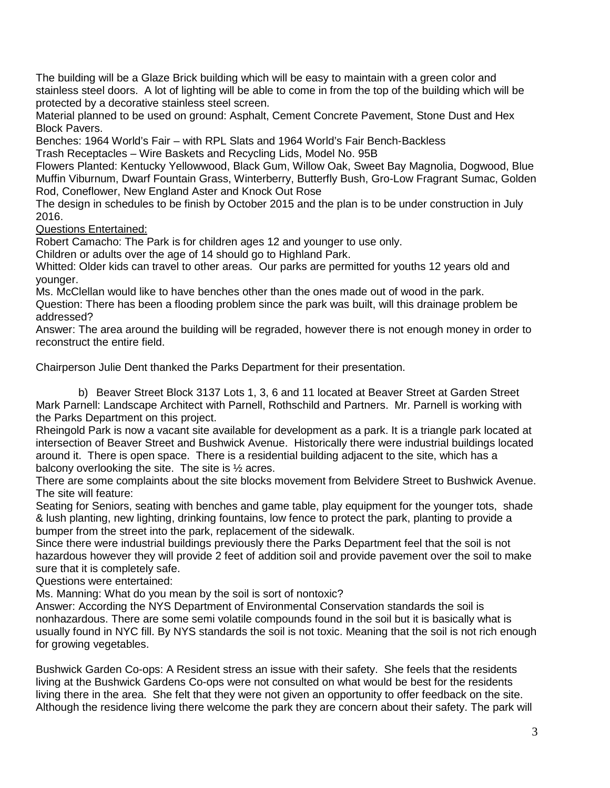The building will be a Glaze Brick building which will be easy to maintain with a green color and stainless steel doors. A lot of lighting will be able to come in from the top of the building which will be protected by a decorative stainless steel screen.

Material planned to be used on ground: Asphalt, Cement Concrete Pavement, Stone Dust and Hex Block Pavers.

Benches: 1964 World's Fair – with RPL Slats and 1964 World's Fair Bench-Backless

Trash Receptacles – Wire Baskets and Recycling Lids, Model No. 95B

Flowers Planted: Kentucky Yellowwood, Black Gum, Willow Oak, Sweet Bay Magnolia, Dogwood, Blue Muffin Viburnum, Dwarf Fountain Grass, Winterberry, Butterfly Bush, Gro-Low Fragrant Sumac, Golden Rod, Coneflower, New England Aster and Knock Out Rose

The design in schedules to be finish by October 2015 and the plan is to be under construction in July 2016.

Questions Entertained:

Robert Camacho: The Park is for children ages 12 and younger to use only.

Children or adults over the age of 14 should go to Highland Park.

Whitted: Older kids can travel to other areas. Our parks are permitted for youths 12 years old and younger.

Ms. McClellan would like to have benches other than the ones made out of wood in the park. Question: There has been a flooding problem since the park was built, will this drainage problem be addressed?

Answer: The area around the building will be regraded, however there is not enough money in order to reconstruct the entire field.

Chairperson Julie Dent thanked the Parks Department for their presentation.

b) Beaver Street Block 3137 Lots 1, 3, 6 and 11 located at Beaver Street at Garden Street Mark Parnell: Landscape Architect with Parnell, Rothschild and Partners. Mr. Parnell is working with the Parks Department on this project.

Rheingold Park is now a vacant site available for development as a park. It is a triangle park located at intersection of Beaver Street and Bushwick Avenue. Historically there were industrial buildings located around it. There is open space. There is a residential building adjacent to the site, which has a balcony overlooking the site. The site is  $\frac{1}{2}$  acres.

There are some complaints about the site blocks movement from Belvidere Street to Bushwick Avenue. The site will feature:

Seating for Seniors, seating with benches and game table, play equipment for the younger tots, shade & lush planting, new lighting, drinking fountains, low fence to protect the park, planting to provide a bumper from the street into the park, replacement of the sidewalk.

Since there were industrial buildings previously there the Parks Department feel that the soil is not hazardous however they will provide 2 feet of addition soil and provide pavement over the soil to make sure that it is completely safe.

Questions were entertained:

Ms. Manning: What do you mean by the soil is sort of nontoxic?

Answer: According the NYS Department of Environmental Conservation standards the soil is nonhazardous. There are some semi volatile compounds found in the soil but it is basically what is usually found in NYC fill. By NYS standards the soil is not toxic. Meaning that the soil is not rich enough for growing vegetables.

Bushwick Garden Co-ops: A Resident stress an issue with their safety. She feels that the residents living at the Bushwick Gardens Co-ops were not consulted on what would be best for the residents living there in the area. She felt that they were not given an opportunity to offer feedback on the site. Although the residence living there welcome the park they are concern about their safety. The park will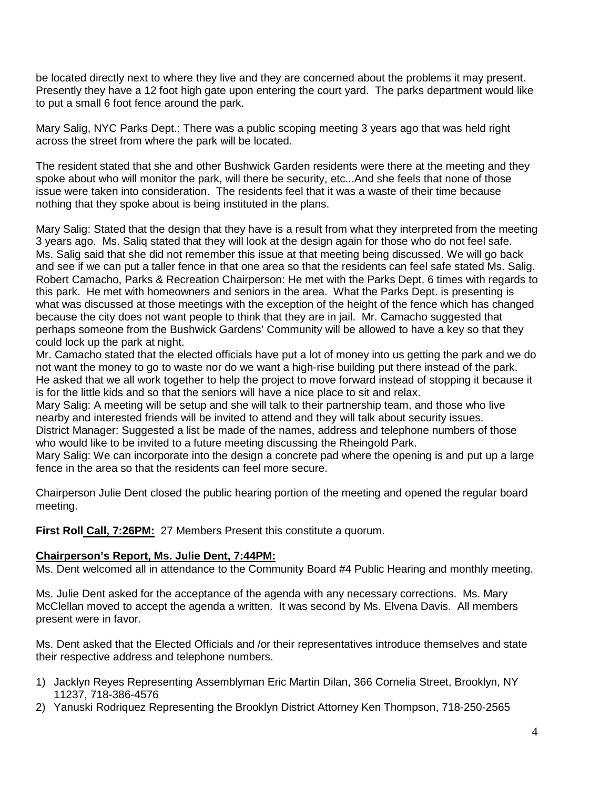be located directly next to where they live and they are concerned about the problems it may present. Presently they have a 12 foot high gate upon entering the court yard. The parks department would like to put a small 6 foot fence around the park.

Mary Salig, NYC Parks Dept.: There was a public scoping meeting 3 years ago that was held right across the street from where the park will be located.

The resident stated that she and other Bushwick Garden residents were there at the meeting and they spoke about who will monitor the park, will there be security, etc...And she feels that none of those issue were taken into consideration. The residents feel that it was a waste of their time because nothing that they spoke about is being instituted in the plans.

Mary Salig: Stated that the design that they have is a result from what they interpreted from the meeting 3 years ago. Ms. Saliq stated that they will look at the design again for those who do not feel safe. Ms. Salig said that she did not remember this issue at that meeting being discussed. We will go back and see if we can put a taller fence in that one area so that the residents can feel safe stated Ms. Salig. Robert Camacho, Parks & Recreation Chairperson: He met with the Parks Dept. 6 times with regards to this park. He met with homeowners and seniors in the area. What the Parks Dept. is presenting is what was discussed at those meetings with the exception of the height of the fence which has changed because the city does not want people to think that they are in jail. Mr. Camacho suggested that perhaps someone from the Bushwick Gardens' Community will be allowed to have a key so that they could lock up the park at night.

Mr. Camacho stated that the elected officials have put a lot of money into us getting the park and we do not want the money to go to waste nor do we want a high-rise building put there instead of the park. He asked that we all work together to help the project to move forward instead of stopping it because it is for the little kids and so that the seniors will have a nice place to sit and relax.

Mary Salig: A meeting will be setup and she will talk to their partnership team, and those who live nearby and interested friends will be invited to attend and they will talk about security issues.

District Manager: Suggested a list be made of the names, address and telephone numbers of those who would like to be invited to a future meeting discussing the Rheingold Park.

Mary Salig: We can incorporate into the design a concrete pad where the opening is and put up a large fence in the area so that the residents can feel more secure.

Chairperson Julie Dent closed the public hearing portion of the meeting and opened the regular board meeting.

**First Roll Call, 7:26PM:** 27 Members Present this constitute a quorum.

### **Chairperson's Report, Ms. Julie Dent, 7:44PM:**

Ms. Dent welcomed all in attendance to the Community Board #4 Public Hearing and monthly meeting.

Ms. Julie Dent asked for the acceptance of the agenda with any necessary corrections. Ms. Mary McClellan moved to accept the agenda a written. It was second by Ms. Elvena Davis. All members present were in favor.

Ms. Dent asked that the Elected Officials and /or their representatives introduce themselves and state their respective address and telephone numbers.

- 1) Jacklyn Reyes Representing Assemblyman Eric Martin Dilan, 366 Cornelia Street, Brooklyn, NY 11237, 718-386-4576
- 2) Yanuski Rodriquez Representing the Brooklyn District Attorney Ken Thompson, 718-250-2565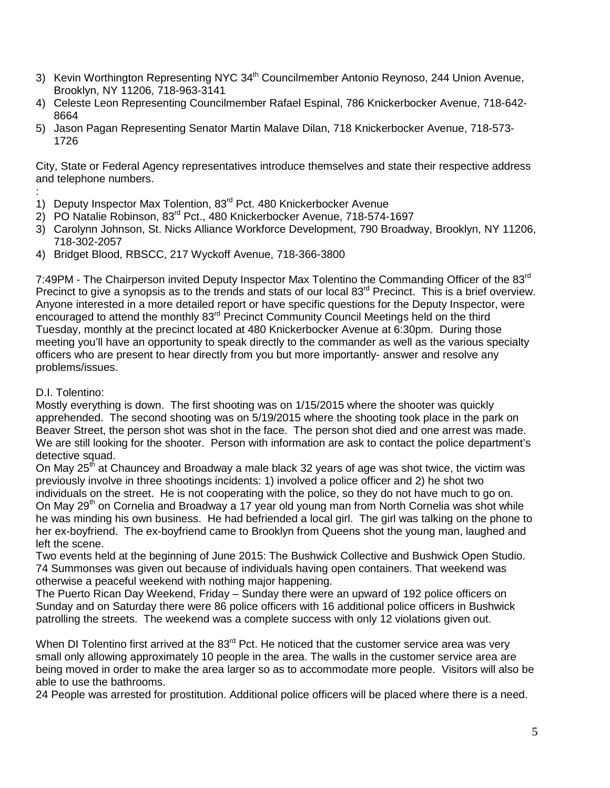- 3) Kevin Worthington Representing NYC 34<sup>th</sup> Councilmember Antonio Reynoso, 244 Union Avenue, Brooklyn, NY 11206, 718-963-3141
- 4) Celeste Leon Representing Councilmember Rafael Espinal, 786 Knickerbocker Avenue, 718-642- 8664
- 5) Jason Pagan Representing Senator Martin Malave Dilan, 718 Knickerbocker Avenue, 718-573- 1726

City, State or Federal Agency representatives introduce themselves and state their respective address and telephone numbers.

- : 1) Deputy Inspector Max Tolention, 83<sup>rd</sup> Pct. 480 Knickerbocker Avenue
- 2) PO Natalie Robinson, 83rd Pct., 480 Knickerbocker Avenue, 718-574-1697
- 3) Carolynn Johnson, St. Nicks Alliance Workforce Development, 790 Broadway, Brooklyn, NY 11206, 718-302-2057
- 4) Bridget Blood, RBSCC, 217 Wyckoff Avenue, 718-366-3800

7:49PM - The Chairperson invited Deputy Inspector Max Tolentino the Commanding Officer of the 83<sup>rd</sup> Precinct to give a synopsis as to the trends and stats of our local 83<sup>rd</sup> Precinct. This is a brief overview. Anyone interested in a more detailed report or have specific questions for the Deputy Inspector, were encouraged to attend the monthly 83<sup>rd</sup> Precinct Community Council Meetings held on the third Tuesday, monthly at the precinct located at 480 Knickerbocker Avenue at 6:30pm. During those meeting you'll have an opportunity to speak directly to the commander as well as the various specialty officers who are present to hear directly from you but more importantly- answer and resolve any problems/issues.

## D.I. Tolentino:

Mostly everything is down. The first shooting was on 1/15/2015 where the shooter was quickly apprehended. The second shooting was on 5/19/2015 where the shooting took place in the park on Beaver Street, the person shot was shot in the face. The person shot died and one arrest was made. We are still looking for the shooter. Person with information are ask to contact the police department's detective squad.

On May 25<sup>th</sup> at Chauncey and Broadway a male black 32 years of age was shot twice, the victim was previously involve in three shootings incidents: 1) involved a police officer and 2) he shot two individuals on the street. He is not cooperating with the police, so they do not have much to go on. On May 29<sup>th</sup> on Cornelia and Broadway a 17 year old young man from North Cornelia was shot while he was minding his own business. He had befriended a local girl. The girl was talking on the phone to her ex-boyfriend. The ex-boyfriend came to Brooklyn from Queens shot the young man, laughed and left the scene.

Two events held at the beginning of June 2015: The Bushwick Collective and Bushwick Open Studio. 74 Summonses was given out because of individuals having open containers. That weekend was otherwise a peaceful weekend with nothing major happening.

The Puerto Rican Day Weekend, Friday – Sunday there were an upward of 192 police officers on Sunday and on Saturday there were 86 police officers with 16 additional police officers in Bushwick patrolling the streets. The weekend was a complete success with only 12 violations given out.

When DI Tolentino first arrived at the 83<sup>rd</sup> Pct. He noticed that the customer service area was very small only allowing approximately 10 people in the area. The walls in the customer service area are being moved in order to make the area larger so as to accommodate more people. Visitors will also be able to use the bathrooms.

24 People was arrested for prostitution. Additional police officers will be placed where there is a need.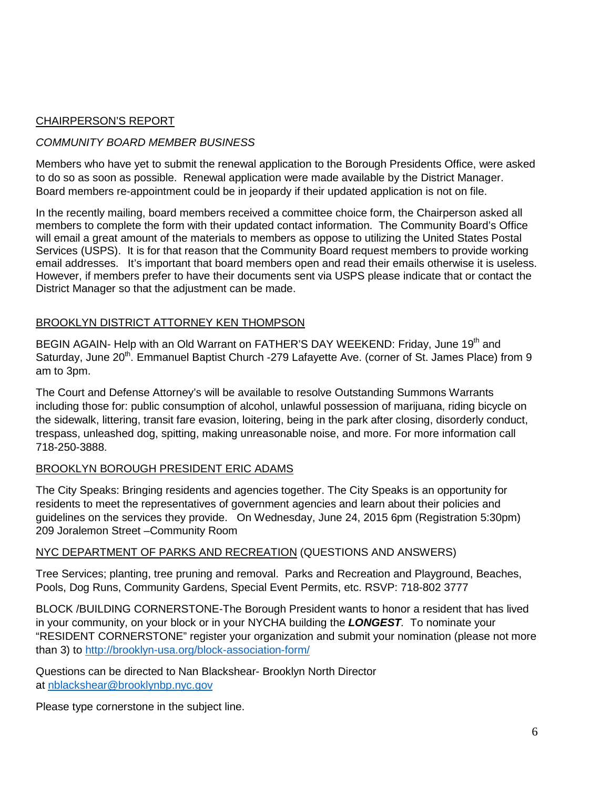## CHAIRPERSON'S REPORT

### *COMMUNITY BOARD MEMBER BUSINESS*

Members who have yet to submit the renewal application to the Borough Presidents Office, were asked to do so as soon as possible. Renewal application were made available by the District Manager. Board members re-appointment could be in jeopardy if their updated application is not on file.

In the recently mailing, board members received a committee choice form, the Chairperson asked all members to complete the form with their updated contact information. The Community Board's Office will email a great amount of the materials to members as oppose to utilizing the United States Postal Services (USPS). It is for that reason that the Community Board request members to provide working email addresses. It's important that board members open and read their emails otherwise it is useless. However, if members prefer to have their documents sent via USPS please indicate that or contact the District Manager so that the adjustment can be made.

### BROOKLYN DISTRICT ATTORNEY KEN THOMPSON

BEGIN AGAIN- Help with an Old Warrant on FATHER'S DAY WEEKEND: Friday, June 19<sup>th</sup> and Saturday, June 20<sup>th</sup>. Emmanuel Baptist Church -279 Lafayette Ave. (corner of St. James Place) from 9 am to 3pm.

The Court and Defense Attorney's will be available to resolve Outstanding Summons Warrants including those for: public consumption of alcohol, unlawful possession of marijuana, riding bicycle on the sidewalk, littering, transit fare evasion, loitering, being in the park after closing, disorderly conduct, trespass, unleashed dog, spitting, making unreasonable noise, and more. For more information call 718-250-3888.

### BROOKLYN BOROUGH PRESIDENT ERIC ADAMS

The City Speaks: Bringing residents and agencies together. The City Speaks is an opportunity for residents to meet the representatives of government agencies and learn about their policies and guidelines on the services they provide. On Wednesday, June 24, 2015 6pm (Registration 5:30pm) 209 Joralemon Street –Community Room

### NYC DEPARTMENT OF PARKS AND RECREATION (QUESTIONS AND ANSWERS)

Tree Services; planting, tree pruning and removal. Parks and Recreation and Playground, Beaches, Pools, Dog Runs, Community Gardens, Special Event Permits, etc. RSVP: 718-802 3777

BLOCK /BUILDING CORNERSTONE-The Borough President wants to honor a resident that has lived in your community, on your block or in your NYCHA building the *LONGEST.* To nominate your "RESIDENT CORNERSTONE" register your organization and submit your nomination (please not more than 3) to<http://brooklyn-usa.org/block-association-form/>

Questions can be directed to Nan Blackshear- Brooklyn North Director at [nblackshear@brooklynbp.nyc.gov](mailto:nblackshear@brooklynbp.nyc.gov)

Please type cornerstone in the subject line.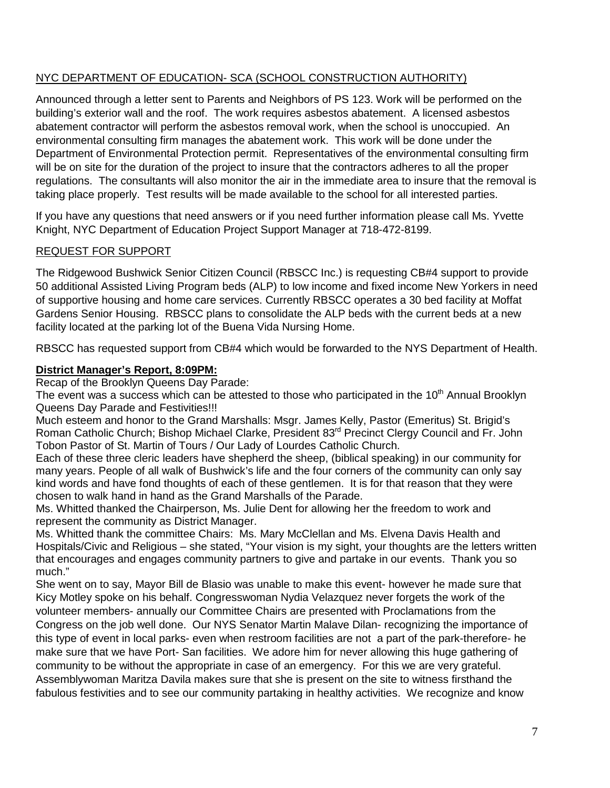# NYC DEPARTMENT OF EDUCATION- SCA (SCHOOL CONSTRUCTION AUTHORITY)

Announced through a letter sent to Parents and Neighbors of PS 123. Work will be performed on the building's exterior wall and the roof. The work requires asbestos abatement. A licensed asbestos abatement contractor will perform the asbestos removal work, when the school is unoccupied. An environmental consulting firm manages the abatement work. This work will be done under the Department of Environmental Protection permit. Representatives of the environmental consulting firm will be on site for the duration of the project to insure that the contractors adheres to all the proper regulations. The consultants will also monitor the air in the immediate area to insure that the removal is taking place properly. Test results will be made available to the school for all interested parties.

If you have any questions that need answers or if you need further information please call Ms. Yvette Knight, NYC Department of Education Project Support Manager at 718-472-8199.

## REQUEST FOR SUPPORT

The Ridgewood Bushwick Senior Citizen Council (RBSCC Inc.) is requesting CB#4 support to provide 50 additional Assisted Living Program beds (ALP) to low income and fixed income New Yorkers in need of supportive housing and home care services. Currently RBSCC operates a 30 bed facility at Moffat Gardens Senior Housing. RBSCC plans to consolidate the ALP beds with the current beds at a new facility located at the parking lot of the Buena Vida Nursing Home.

RBSCC has requested support from CB#4 which would be forwarded to the NYS Department of Health.

## **District Manager's Report, 8:09PM:**

Recap of the Brooklyn Queens Day Parade:

The event was a success which can be attested to those who participated in the  $10<sup>th</sup>$  Annual Brooklyn Queens Day Parade and Festivities!!!

Much esteem and honor to the Grand Marshalls: Msgr. James Kelly, Pastor (Emeritus) St. Brigid's Roman Catholic Church; Bishop Michael Clarke, President 83<sup>rd</sup> Precinct Clergy Council and Fr. John Tobon Pastor of St. Martin of Tours / Our Lady of Lourdes Catholic Church.

Each of these three cleric leaders have shepherd the sheep, (biblical speaking) in our community for many years. People of all walk of Bushwick's life and the four corners of the community can only say kind words and have fond thoughts of each of these gentlemen. It is for that reason that they were chosen to walk hand in hand as the Grand Marshalls of the Parade.

Ms. Whitted thanked the Chairperson, Ms. Julie Dent for allowing her the freedom to work and represent the community as District Manager.

Ms. Whitted thank the committee Chairs: Ms. Mary McClellan and Ms. Elvena Davis Health and Hospitals/Civic and Religious – she stated, "Your vision is my sight, your thoughts are the letters written that encourages and engages community partners to give and partake in our events. Thank you so much."

She went on to say, Mayor Bill de Blasio was unable to make this event- however he made sure that Kicy Motley spoke on his behalf. Congresswoman Nydia Velazquez never forgets the work of the volunteer members- annually our Committee Chairs are presented with Proclamations from the Congress on the job well done. Our NYS Senator Martin Malave Dilan- recognizing the importance of this type of event in local parks- even when restroom facilities are not a part of the park-therefore- he make sure that we have Port- San facilities. We adore him for never allowing this huge gathering of community to be without the appropriate in case of an emergency. For this we are very grateful. Assemblywoman Maritza Davila makes sure that she is present on the site to witness firsthand the fabulous festivities and to see our community partaking in healthy activities. We recognize and know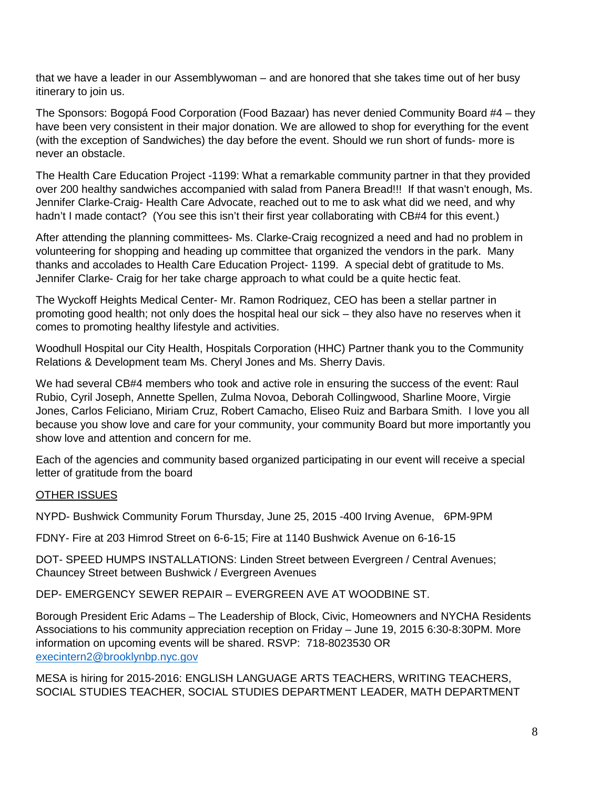that we have a leader in our Assemblywoman – and are honored that she takes time out of her busy itinerary to join us.

The Sponsors: Bogopá Food Corporation (Food Bazaar) has never denied Community Board #4 – they have been very consistent in their major donation. We are allowed to shop for everything for the event (with the exception of Sandwiches) the day before the event. Should we run short of funds- more is never an obstacle.

The Health Care Education Project -1199: What a remarkable community partner in that they provided over 200 healthy sandwiches accompanied with salad from Panera Bread!!! If that wasn't enough, Ms. Jennifer Clarke-Craig- Health Care Advocate, reached out to me to ask what did we need, and why hadn't I made contact? (You see this isn't their first year collaborating with CB#4 for this event.)

After attending the planning committees- Ms. Clarke-Craig recognized a need and had no problem in volunteering for shopping and heading up committee that organized the vendors in the park. Many thanks and accolades to Health Care Education Project- 1199. A special debt of gratitude to Ms. Jennifer Clarke- Craig for her take charge approach to what could be a quite hectic feat.

The Wyckoff Heights Medical Center- Mr. Ramon Rodriquez, CEO has been a stellar partner in promoting good health; not only does the hospital heal our sick – they also have no reserves when it comes to promoting healthy lifestyle and activities.

Woodhull Hospital our City Health, Hospitals Corporation (HHC) Partner thank you to the Community Relations & Development team Ms. Cheryl Jones and Ms. Sherry Davis.

We had several CB#4 members who took and active role in ensuring the success of the event: Raul Rubio, Cyril Joseph, Annette Spellen, Zulma Novoa, Deborah Collingwood, Sharline Moore, Virgie Jones, Carlos Feliciano, Miriam Cruz, Robert Camacho, Eliseo Ruiz and Barbara Smith. I love you all because you show love and care for your community, your community Board but more importantly you show love and attention and concern for me.

Each of the agencies and community based organized participating in our event will receive a special letter of gratitude from the board

### OTHER ISSUES

NYPD- Bushwick Community Forum Thursday, June 25, 2015 -400 Irving Avenue, 6PM-9PM

FDNY- Fire at 203 Himrod Street on 6-6-15; Fire at 1140 Bushwick Avenue on 6-16-15

DOT- SPEED HUMPS INSTALLATIONS: Linden Street between Evergreen / Central Avenues; Chauncey Street between Bushwick / Evergreen Avenues

DEP- EMERGENCY SEWER REPAIR – EVERGREEN AVE AT WOODBINE ST.

Borough President Eric Adams – The Leadership of Block, Civic, Homeowners and NYCHA Residents Associations to his community appreciation reception on Friday – June 19, 2015 6:30-8:30PM. More information on upcoming events will be shared. RSVP: 718-8023530 OR [execintern2@brooklynbp.nyc.gov](mailto:execintern2@brooklynbp.nyc.gov)

MESA is hiring for 2015-2016: ENGLISH LANGUAGE ARTS TEACHERS, WRITING TEACHERS, SOCIAL STUDIES TEACHER, SOCIAL STUDIES DEPARTMENT LEADER, MATH DEPARTMENT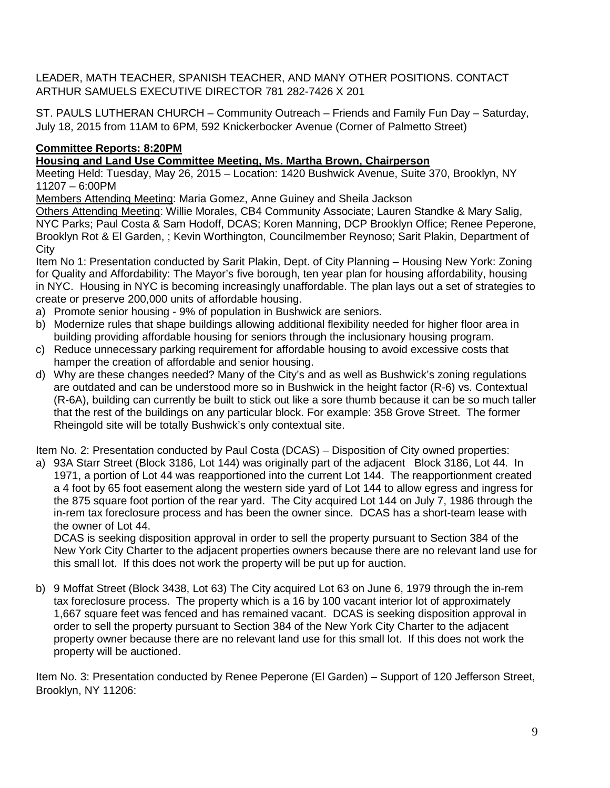LEADER, MATH TEACHER, SPANISH TEACHER, AND MANY OTHER POSITIONS. CONTACT ARTHUR SAMUELS EXECUTIVE DIRECTOR 781 282-7426 X 201

ST. PAULS LUTHERAN CHURCH – Community Outreach – Friends and Family Fun Day – Saturday, July 18, 2015 from 11AM to 6PM, 592 Knickerbocker Avenue (Corner of Palmetto Street)

# **Committee Reports: 8:20PM**

**Housing and Land Use Committee Meeting, Ms. Martha Brown, Chairperson** 

Meeting Held: Tuesday, May 26, 2015 – Location: 1420 Bushwick Avenue, Suite 370, Brooklyn, NY 11207 – 6:00PM

Members Attending Meeting: Maria Gomez, Anne Guiney and Sheila Jackson

Others Attending Meeting: Willie Morales, CB4 Community Associate; Lauren Standke & Mary Salig, NYC Parks; Paul Costa & Sam Hodoff, DCAS; Koren Manning, DCP Brooklyn Office; Renee Peperone, Brooklyn Rot & El Garden, ; Kevin Worthington, Councilmember Reynoso; Sarit Plakin, Department of **City** 

Item No 1: Presentation conducted by Sarit Plakin, Dept. of City Planning – Housing New York: Zoning for Quality and Affordability: The Mayor's five borough, ten year plan for housing affordability, housing in NYC. Housing in NYC is becoming increasingly unaffordable. The plan lays out a set of strategies to create or preserve 200,000 units of affordable housing.

- a) Promote senior housing 9% of population in Bushwick are seniors.
- b) Modernize rules that shape buildings allowing additional flexibility needed for higher floor area in building providing affordable housing for seniors through the inclusionary housing program.
- c) Reduce unnecessary parking requirement for affordable housing to avoid excessive costs that hamper the creation of affordable and senior housing.
- d) Why are these changes needed? Many of the City's and as well as Bushwick's zoning regulations are outdated and can be understood more so in Bushwick in the height factor (R-6) vs. Contextual (R-6A), building can currently be built to stick out like a sore thumb because it can be so much taller that the rest of the buildings on any particular block. For example: 358 Grove Street. The former Rheingold site will be totally Bushwick's only contextual site.

Item No. 2: Presentation conducted by Paul Costa (DCAS) – Disposition of City owned properties:

a) 93A Starr Street (Block 3186, Lot 144) was originally part of the adjacent Block 3186, Lot 44. In 1971, a portion of Lot 44 was reapportioned into the current Lot 144. The reapportionment created a 4 foot by 65 foot easement along the western side yard of Lot 144 to allow egress and ingress for the 875 square foot portion of the rear yard. The City acquired Lot 144 on July 7, 1986 through the in-rem tax foreclosure process and has been the owner since. DCAS has a short-team lease with the owner of Lot 44.

DCAS is seeking disposition approval in order to sell the property pursuant to Section 384 of the New York City Charter to the adjacent properties owners because there are no relevant land use for this small lot. If this does not work the property will be put up for auction.

b) 9 Moffat Street (Block 3438, Lot 63) The City acquired Lot 63 on June 6, 1979 through the in-rem tax foreclosure process. The property which is a 16 by 100 vacant interior lot of approximately 1,667 square feet was fenced and has remained vacant. DCAS is seeking disposition approval in order to sell the property pursuant to Section 384 of the New York City Charter to the adjacent property owner because there are no relevant land use for this small lot. If this does not work the property will be auctioned.

Item No. 3: Presentation conducted by Renee Peperone (El Garden) – Support of 120 Jefferson Street, Brooklyn, NY 11206: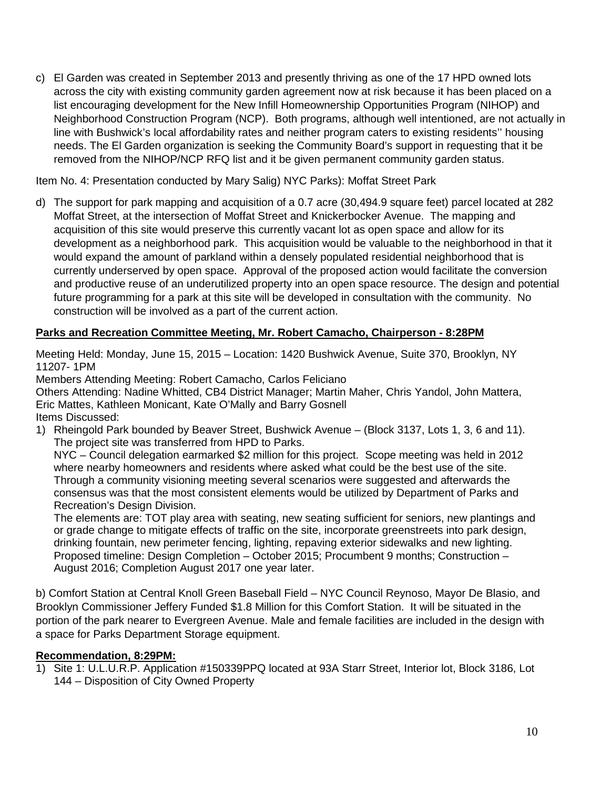c) El Garden was created in September 2013 and presently thriving as one of the 17 HPD owned lots across the city with existing community garden agreement now at risk because it has been placed on a list encouraging development for the New Infill Homeownership Opportunities Program (NIHOP) and Neighborhood Construction Program (NCP). Both programs, although well intentioned, are not actually in line with Bushwick's local affordability rates and neither program caters to existing residents'' housing needs. The El Garden organization is seeking the Community Board's support in requesting that it be removed from the NIHOP/NCP RFQ list and it be given permanent community garden status.

Item No. 4: Presentation conducted by Mary Salig) NYC Parks): Moffat Street Park

d) The support for park mapping and acquisition of a 0.7 acre (30,494.9 square feet) parcel located at 282 Moffat Street, at the intersection of Moffat Street and Knickerbocker Avenue. The mapping and acquisition of this site would preserve this currently vacant lot as open space and allow for its development as a neighborhood park. This acquisition would be valuable to the neighborhood in that it would expand the amount of parkland within a densely populated residential neighborhood that is currently underserved by open space. Approval of the proposed action would facilitate the conversion and productive reuse of an underutilized property into an open space resource. The design and potential future programming for a park at this site will be developed in consultation with the community. No construction will be involved as a part of the current action.

# **Parks and Recreation Committee Meeting, Mr. Robert Camacho, Chairperson - 8:28PM**

Meeting Held: Monday, June 15, 2015 – Location: 1420 Bushwick Avenue, Suite 370, Brooklyn, NY 11207- 1PM

Members Attending Meeting: Robert Camacho, Carlos Feliciano

Others Attending: Nadine Whitted, CB4 District Manager; Martin Maher, Chris Yandol, John Mattera, Eric Mattes, Kathleen Monicant, Kate O'Mally and Barry Gosnell Items Discussed:

1) Rheingold Park bounded by Beaver Street, Bushwick Avenue – (Block 3137, Lots 1, 3, 6 and 11). The project site was transferred from HPD to Parks.

NYC – Council delegation earmarked \$2 million for this project. Scope meeting was held in 2012 where nearby homeowners and residents where asked what could be the best use of the site. Through a community visioning meeting several scenarios were suggested and afterwards the consensus was that the most consistent elements would be utilized by Department of Parks and Recreation's Design Division.

The elements are: TOT play area with seating, new seating sufficient for seniors, new plantings and or grade change to mitigate effects of traffic on the site, incorporate greenstreets into park design, drinking fountain, new perimeter fencing, lighting, repaving exterior sidewalks and new lighting. Proposed timeline: Design Completion – October 2015; Procumbent 9 months; Construction – August 2016; Completion August 2017 one year later.

b) Comfort Station at Central Knoll Green Baseball Field – NYC Council Reynoso, Mayor De Blasio, and Brooklyn Commissioner Jeffery Funded \$1.8 Million for this Comfort Station. It will be situated in the portion of the park nearer to Evergreen Avenue. Male and female facilities are included in the design with a space for Parks Department Storage equipment.

### **Recommendation, 8:29PM:**

1) Site 1: U.L.U.R.P. Application #150339PPQ located at 93A Starr Street, Interior lot, Block 3186, Lot 144 – Disposition of City Owned Property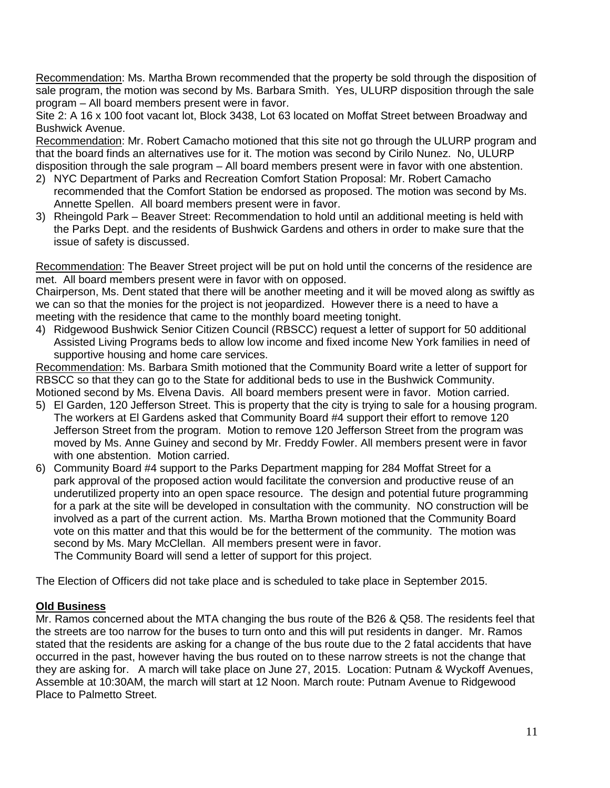Recommendation: Ms. Martha Brown recommended that the property be sold through the disposition of sale program, the motion was second by Ms. Barbara Smith. Yes, ULURP disposition through the sale program – All board members present were in favor.

Site 2: A 16 x 100 foot vacant lot, Block 3438, Lot 63 located on Moffat Street between Broadway and Bushwick Avenue.

Recommendation: Mr. Robert Camacho motioned that this site not go through the ULURP program and that the board finds an alternatives use for it. The motion was second by Cirilo Nunez. No, ULURP disposition through the sale program – All board members present were in favor with one abstention.

- 2) NYC Department of Parks and Recreation Comfort Station Proposal: Mr. Robert Camacho recommended that the Comfort Station be endorsed as proposed. The motion was second by Ms. Annette Spellen. All board members present were in favor.
- 3) Rheingold Park Beaver Street: Recommendation to hold until an additional meeting is held with the Parks Dept. and the residents of Bushwick Gardens and others in order to make sure that the issue of safety is discussed.

Recommendation: The Beaver Street project will be put on hold until the concerns of the residence are met. All board members present were in favor with on opposed.

Chairperson, Ms. Dent stated that there will be another meeting and it will be moved along as swiftly as we can so that the monies for the project is not jeopardized. However there is a need to have a meeting with the residence that came to the monthly board meeting tonight.

4) Ridgewood Bushwick Senior Citizen Council (RBSCC) request a letter of support for 50 additional Assisted Living Programs beds to allow low income and fixed income New York families in need of supportive housing and home care services.

Recommendation: Ms. Barbara Smith motioned that the Community Board write a letter of support for RBSCC so that they can go to the State for additional beds to use in the Bushwick Community. Motioned second by Ms. Elvena Davis. All board members present were in favor. Motion carried.

- 5) El Garden, 120 Jefferson Street. This is property that the city is trying to sale for a housing program. The workers at El Gardens asked that Community Board #4 support their effort to remove 120 Jefferson Street from the program. Motion to remove 120 Jefferson Street from the program was moved by Ms. Anne Guiney and second by Mr. Freddy Fowler. All members present were in favor with one abstention. Motion carried.
- 6) Community Board #4 support to the Parks Department mapping for 284 Moffat Street for a park approval of the proposed action would facilitate the conversion and productive reuse of an underutilized property into an open space resource. The design and potential future programming for a park at the site will be developed in consultation with the community. NO construction will be involved as a part of the current action. Ms. Martha Brown motioned that the Community Board vote on this matter and that this would be for the betterment of the community. The motion was second by Ms. Mary McClellan. All members present were in favor. The Community Board will send a letter of support for this project.

The Election of Officers did not take place and is scheduled to take place in September 2015.

### **Old Business**

Mr. Ramos concerned about the MTA changing the bus route of the B26 & Q58. The residents feel that the streets are too narrow for the buses to turn onto and this will put residents in danger. Mr. Ramos stated that the residents are asking for a change of the bus route due to the 2 fatal accidents that have occurred in the past, however having the bus routed on to these narrow streets is not the change that they are asking for. A march will take place on June 27, 2015. Location: Putnam & Wyckoff Avenues, Assemble at 10:30AM, the march will start at 12 Noon. March route: Putnam Avenue to Ridgewood Place to Palmetto Street.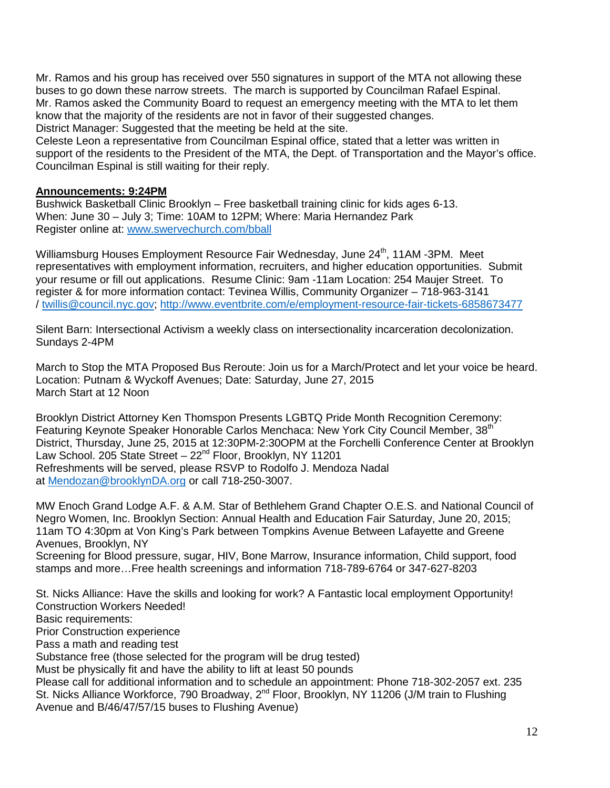Mr. Ramos and his group has received over 550 signatures in support of the MTA not allowing these buses to go down these narrow streets. The march is supported by Councilman Rafael Espinal. Mr. Ramos asked the Community Board to request an emergency meeting with the MTA to let them know that the majority of the residents are not in favor of their suggested changes. District Manager: Suggested that the meeting be held at the site.

Celeste Leon a representative from Councilman Espinal office, stated that a letter was written in support of the residents to the President of the MTA, the Dept. of Transportation and the Mayor's office. Councilman Espinal is still waiting for their reply.

### **Announcements: 9:24PM**

Bushwick Basketball Clinic Brooklyn – Free basketball training clinic for kids ages 6-13. When: June 30 – July 3; Time: 10AM to 12PM; Where: Maria Hernandez Park Register online at: [www.swervechurch.com/bball](http://www.swervechurch.com/bball)

Williamsburg Houses Employment Resource Fair Wednesday, June 24<sup>th</sup>, 11AM -3PM. Meet representatives with employment information, recruiters, and higher education opportunities. Submit your resume or fill out applications. Resume Clinic: 9am -11am Location: 254 Maujer Street. To register & for more information contact: Tevinea Willis, Community Organizer – 718-963-3141 / [twillis@council.nyc.gov;](mailto:twillis@council.nyc.gov)<http://www.eventbrite.com/e/employment-resource-fair-tickets-6858673477>

Silent Barn: Intersectional Activism a weekly class on intersectionality incarceration decolonization. Sundays 2-4PM

March to Stop the MTA Proposed Bus Reroute: Join us for a March/Protect and let your voice be heard. Location: Putnam & Wyckoff Avenues; Date: Saturday, June 27, 2015 March Start at 12 Noon

Brooklyn District Attorney Ken Thomspon Presents LGBTQ Pride Month Recognition Ceremony: Featuring Keynote Speaker Honorable Carlos Menchaca: New York City Council Member, 38<sup>th</sup> District, Thursday, June 25, 2015 at 12:30PM-2:30OPM at the Forchelli Conference Center at Brooklyn Law School. 205 State Street - 22<sup>nd</sup> Floor, Brooklyn, NY 11201 Refreshments will be served, please RSVP to Rodolfo J. Mendoza Nadal at [Mendozan@brooklynDA.org](mailto:Mendozan@brooklynDA.org) or call 718-250-3007.

MW Enoch Grand Lodge A.F. & A.M. Star of Bethlehem Grand Chapter O.E.S. and National Council of Negro Women, Inc. Brooklyn Section: Annual Health and Education Fair Saturday, June 20, 2015; 11am TO 4:30pm at Von King's Park between Tompkins Avenue Between Lafayette and Greene Avenues, Brooklyn, NY

Screening for Blood pressure, sugar, HIV, Bone Marrow, Insurance information, Child support, food stamps and more…Free health screenings and information 718-789-6764 or 347-627-8203

St. Nicks Alliance: Have the skills and looking for work? A Fantastic local employment Opportunity! Construction Workers Needed! Basic requirements: Prior Construction experience Pass a math and reading test Substance free (those selected for the program will be drug tested) Must be physically fit and have the ability to lift at least 50 pounds Please call for additional information and to schedule an appointment: Phone 718-302-2057 ext. 235

St. Nicks Alliance Workforce, 790 Broadway, 2<sup>nd</sup> Floor, Brooklyn, NY 11206 (J/M train to Flushing Avenue and B/46/47/57/15 buses to Flushing Avenue)